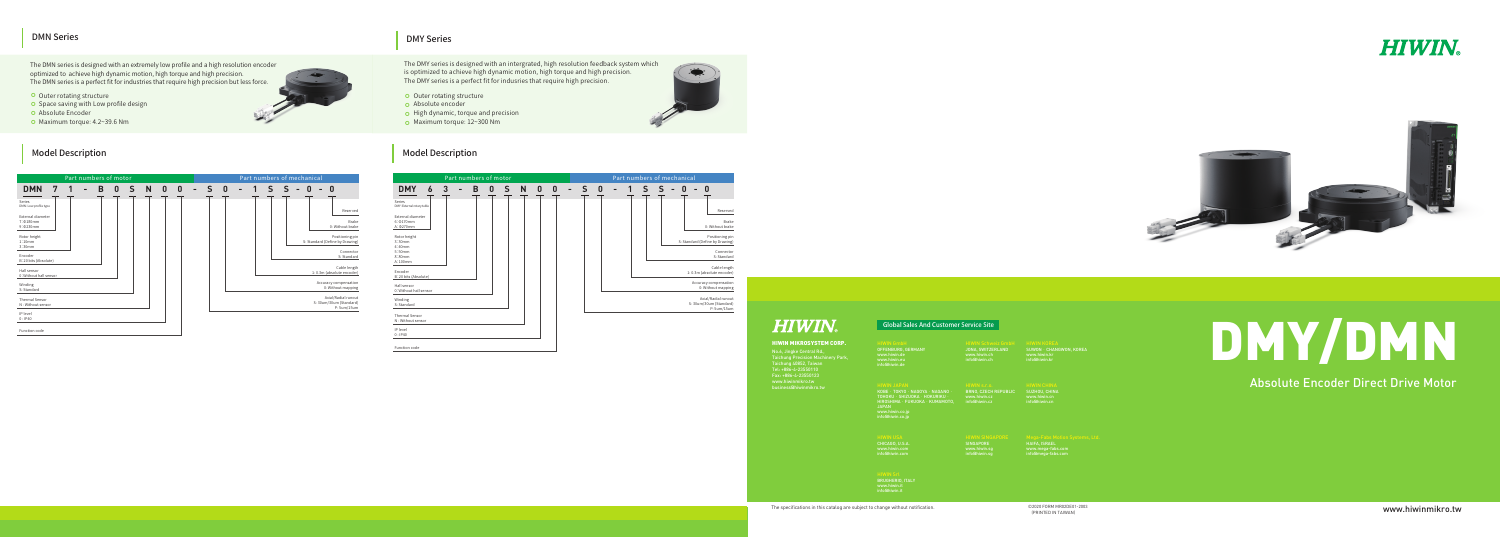www.hiwinmikro.tw

# DMY/DMN

# Absolute Encoder Direct Drive Motor

©2020 FORM MR02DE01-2003 (PRINTED IN TAIWAN)





## HIWIN MIKROSYSTEM CORP.

No.6, Jingke Central Rd., Taichung Precision Machinery Park, Taichung 40852, Taiwan Tel: +886-4-23550110 Fax: +886-4-23550123 www.hiwinmikro.tw business@hiwinmikro.tw

The specifications in this catalog are subject to change without notification.

KOBE‧TOKYO‧NAGOYA‧NAGANO‧ TOHOKU · SHIZUOKA · HOKURIKU · HIROSHIMA‧FUKUOKA‧KUMAMOTO, JAPAN www.hiwin.co.jp info@hiwin.co.jp

## Global Sales And Customer Service Site

www.hiwin.kr info@hiwin.kr

SUZHOU, CHINA www.hiwin.cn info@hiwin.cn

HAIFA, ISRAEL www.mega-fabs.com info@mega-fabs.com

**SINGAPORE** www.hiwin.sg info@hiwin.sg

OFFENBURG, GERMANY www.hiwin.de info@hiwin.de

CHICAGO, U.S.A.

- **O** Outer rotating structure
- **o** Absolute encoder
- $\bullet$  High dynamic, torque and precision
- Maximum torque: 12~300 Nm

## Model Description **Model Description** Model Description

www.hiwin.com info@hiwin.com

BRUGHERIO, ITALY www.hiwin.it info@hiwin.it

JONA, SWITZERLAND www.hiwin.ch info@hiwin.ch

## BRNO, CZECH REPUBLIC

www.hiwin.cz info@hiwin.cz

## HIWIN JAPAN

## DMN Series

## DMY Series

The DMY series is designed with an intergrated, high resolution feedback system which is optimized to achieve high dynamic motion, high torque and high precision. The DMY series is a perfect fit for indusries that require high precision.

The DMN series is designed with an extremely low profile and a high resolution encoder optimized to achieve high dynamic motion, high torque and high precision. The DMN series is a perfect fit for industries that require high precision but less force.

- **O** Outer rotating structure
- **O** Space saving with Low profile design
- **o** Absolute Encoder
- $\bullet$  Maximum torque: 4.2~39.6 Nm

| Part numbers of motor                      |   |  |  |   |   |   |   |                  |                  |                | Part numbers of mechanical |   |  |  |  |  |  |   |                                                               |
|--------------------------------------------|---|--|--|---|---|---|---|------------------|------------------|----------------|----------------------------|---|--|--|--|--|--|---|---------------------------------------------------------------|
| <b>DMN</b>                                 | 7 |  |  | B | 0 | S | N | $\boldsymbol{0}$ | $\boldsymbol{0}$ | $\blacksquare$ | S                          | 0 |  |  |  |  |  | n |                                                               |
| Series<br>DMN:Low profile type             |   |  |  |   |   |   |   |                  |                  |                |                            |   |  |  |  |  |  |   | Reserved                                                      |
| External diameter<br>7:0180mm<br>9:0230mm  |   |  |  |   |   |   |   |                  |                  |                |                            |   |  |  |  |  |  |   | <b>Brake</b><br>0: Without brake                              |
| Rotor height<br>1:10mm<br>3:30mm           |   |  |  |   |   |   |   |                  |                  |                |                            |   |  |  |  |  |  |   | Positioning pin<br>S: Standard (Define by Drawing)            |
| Encoder<br>B:20 bits (Absolute)            |   |  |  |   |   |   |   |                  |                  |                |                            |   |  |  |  |  |  |   | Connector<br>S: Standard                                      |
| Hall sensor<br>0: Without hall sensor      |   |  |  |   |   |   |   |                  |                  |                |                            |   |  |  |  |  |  |   | Cable length<br>1:0.3m (absolute encoder)                     |
| Winding<br>S: Standard                     |   |  |  |   |   |   |   |                  |                  |                |                            |   |  |  |  |  |  |   | Accuracy compensation<br>0: Without mapping                   |
| <b>Thermal Sensor</b><br>N: Without sensor |   |  |  |   |   |   |   |                  |                  |                |                            |   |  |  |  |  |  |   | Axial/Radial runout<br>S: 30um/30um (Standard)<br>P: 5um/15um |
| IP level<br>0:IP40                         |   |  |  |   |   |   |   |                  |                  |                |                            |   |  |  |  |  |  |   |                                                               |
| Function code                              |   |  |  |   |   |   |   |                  |                  |                |                            |   |  |  |  |  |  |   |                                                               |



# **HIWIN**

|                                                                 |   | Part numbers of motor |   |    |   |   |  |
|-----------------------------------------------------------------|---|-----------------------|---|----|---|---|--|
| <b>DMY</b><br>6                                                 | З | B                     | 0 | S. | N | n |  |
| Series<br>DMY: External rotary table                            |   |                       |   |    |   |   |  |
| External diameter<br>6:0170mm<br>A: $\Phi$ 270mm                |   |                       |   |    |   |   |  |
| Rotor height<br>3:30mm<br>4:40mm<br>5:50mm<br>8:80mm<br>A:100mm |   |                       |   |    |   |   |  |
| Encoder<br>B:20 bits (Absolute)                                 |   |                       |   |    |   |   |  |
| Hall sensor<br>0: Without hall sensor                           |   |                       |   |    |   |   |  |
| Winding<br>S: Standard                                          |   |                       |   |    |   |   |  |
| <b>Thermal Sensor</b><br>N: Without sensor                      |   |                       |   |    |   |   |  |
| IP level<br>0:IP40                                              |   |                       |   |    |   |   |  |
| Function code                                                   |   |                       |   |    |   |   |  |